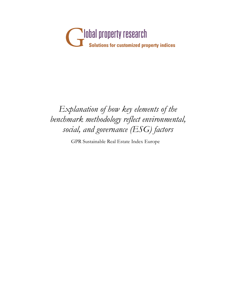

## *Explanation of how key elements of the benchmark methodology reflect environmental, social, and governance (ESG) factors*

GPR Sustainable Real Estate Index Europe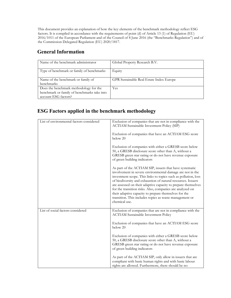This document provides an explanation of how the key elements of the benchmark methodology reflect ESG factors. It is compiled in accordance with the requirements of point (d) of Article 13 (1) of Regulation (EU) 2016/1011 of the European Parliament and of the Council of 8 June 2016 (the "Benchmarks Regulation") and of the Commission Delegated Regulation (EU) 2020/1817.

## **General Information**

| Name of the benchmark administrator                                                                           | Global Property Research B.V.            |
|---------------------------------------------------------------------------------------------------------------|------------------------------------------|
| Type of benchmark or family of benchmarks                                                                     | Equity                                   |
| Name of the benchmark or family of<br>benchmarks                                                              | GPR Sustainable Real Estate Index Europe |
| Does the benchmark methodology for the<br>benchmark or family of benchmarks take into<br>account ESG factors? | Yes                                      |

## **ESG Factors applied in the benchmark methodology**

| List of environmental factors considered | Exclusion of companies that are not in compliance with the<br><b>ACTIAM Sustainable Investment Policy (SIP)</b>                                                                                                                                                                                                                                                                                                                                                                                                           |
|------------------------------------------|---------------------------------------------------------------------------------------------------------------------------------------------------------------------------------------------------------------------------------------------------------------------------------------------------------------------------------------------------------------------------------------------------------------------------------------------------------------------------------------------------------------------------|
|                                          | Exclusion of companies that have an ACTIAM ESG score<br>below 20                                                                                                                                                                                                                                                                                                                                                                                                                                                          |
|                                          | Exclusion of companies with either a GRESB score below<br>50, a GRESB disclosure score other than A, without a<br>GRESB green star rating or do not have revenue exposure<br>of green building indicators                                                                                                                                                                                                                                                                                                                 |
|                                          | As part of the ACTIAM SIP, issuers that have systematic<br>involvement in severe environmental damage are not in the<br>investment scope. This links to topics such as pollution, loss<br>of biodiversity and exhaustion of natural resources. Issuers<br>are assessed on their adaptive capacity to prepare themselves<br>for the transition risks. Also, companies are analyzed on<br>their adaptive capacity to prepare themselves for the<br>transition. This includes topics as waste management or<br>chemical use. |
| List of social factors considered        | Exclusion of companies that are not in compliance with the<br><b>ACTIAM Sustainable Investment Policy</b>                                                                                                                                                                                                                                                                                                                                                                                                                 |
|                                          | Exclusion of companies that have an ACTIAM ESG score<br>below 20                                                                                                                                                                                                                                                                                                                                                                                                                                                          |
|                                          | Exclusion of companies with either a GRESB score below<br>50, a GRESB disclosure score other than A, without a<br>GRESB green star rating or do not have revenue exposure<br>of green building indicators                                                                                                                                                                                                                                                                                                                 |
|                                          | As part of the ACTIAM SIP, only allow in issuers that are<br>compliant with basic human rights and with basic labour<br>rights are allowed. Furthermore, there should be no                                                                                                                                                                                                                                                                                                                                               |